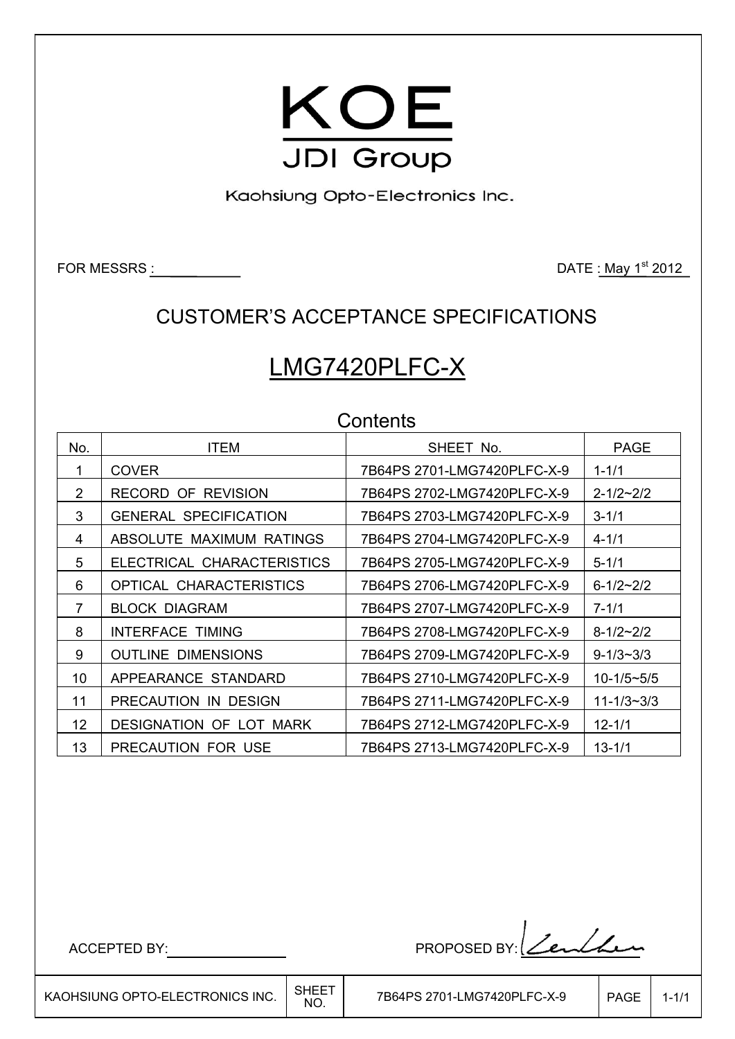

Kaohsiung Opto-Electronics Inc.

FOR MESSRS : DATE : May 1<sup>st</sup> 2012

## CUSTOMER'S ACCEPTANCE SPECIFICATIONS

# LMG7420PLFC-X

| Contents |                                |                             |                     |  |  |  |  |  |  |
|----------|--------------------------------|-----------------------------|---------------------|--|--|--|--|--|--|
| No.      | <b>ITEM</b>                    | SHEET No.                   | <b>PAGE</b>         |  |  |  |  |  |  |
| 1        | <b>COVER</b>                   | 7B64PS 2701-LMG7420PLFC-X-9 | $1 - 1/1$           |  |  |  |  |  |  |
| 2        | <b>RECORD OF REVISION</b>      | 7B64PS 2702-LMG7420PLFC-X-9 | $2 - 1/2 \sim 2/2$  |  |  |  |  |  |  |
| 3        | <b>GENERAL SPECIFICATION</b>   | 7B64PS 2703-LMG7420PLFC-X-9 | $3 - 1/1$           |  |  |  |  |  |  |
| 4        | ABSOLUTE MAXIMUM RATINGS       | 7B64PS 2704-LMG7420PLFC-X-9 | $4 - 1/1$           |  |  |  |  |  |  |
| 5        | ELECTRICAL CHARACTERISTICS     | 7B64PS 2705-LMG7420PLFC-X-9 | $5 - 1/1$           |  |  |  |  |  |  |
| 6        | OPTICAL CHARACTERISTICS        | 7B64PS 2706-LMG7420PLFC-X-9 | $6 - 1/2 \sim 2/2$  |  |  |  |  |  |  |
| 7        | <b>BLOCK DIAGRAM</b>           |                             | $7 - 1/1$           |  |  |  |  |  |  |
| 8        | <b>INTERFACE TIMING</b>        | 7B64PS 2708-LMG7420PLFC-X-9 | $8-1/2 \sim 2/2$    |  |  |  |  |  |  |
| 9        | <b>OUTLINE DIMENSIONS</b>      | 7B64PS 2709-LMG7420PLFC-X-9 | $9 - 1/3 \sim 3/3$  |  |  |  |  |  |  |
| 10       | APPEARANCE STANDARD            | 7B64PS 2710-LMG7420PLFC-X-9 | $10 - 1/5 \sim 5/5$ |  |  |  |  |  |  |
| 11       | PRECAUTION IN DESIGN           | 7B64PS 2711-LMG7420PLFC-X-9 | $11 - 1/3 - 3/3$    |  |  |  |  |  |  |
| 12       | <b>DESIGNATION OF LOT MARK</b> | 7B64PS 2712-LMG7420PLFC-X-9 | $12 - 1/1$          |  |  |  |  |  |  |
| 13       | PRECAUTION FOR USE             | 7B64PS 2713-LMG7420PLFC-X-9 | $13 - 1/1$          |  |  |  |  |  |  |

ACCEPTED BY: PROPOSED BY: Zenlan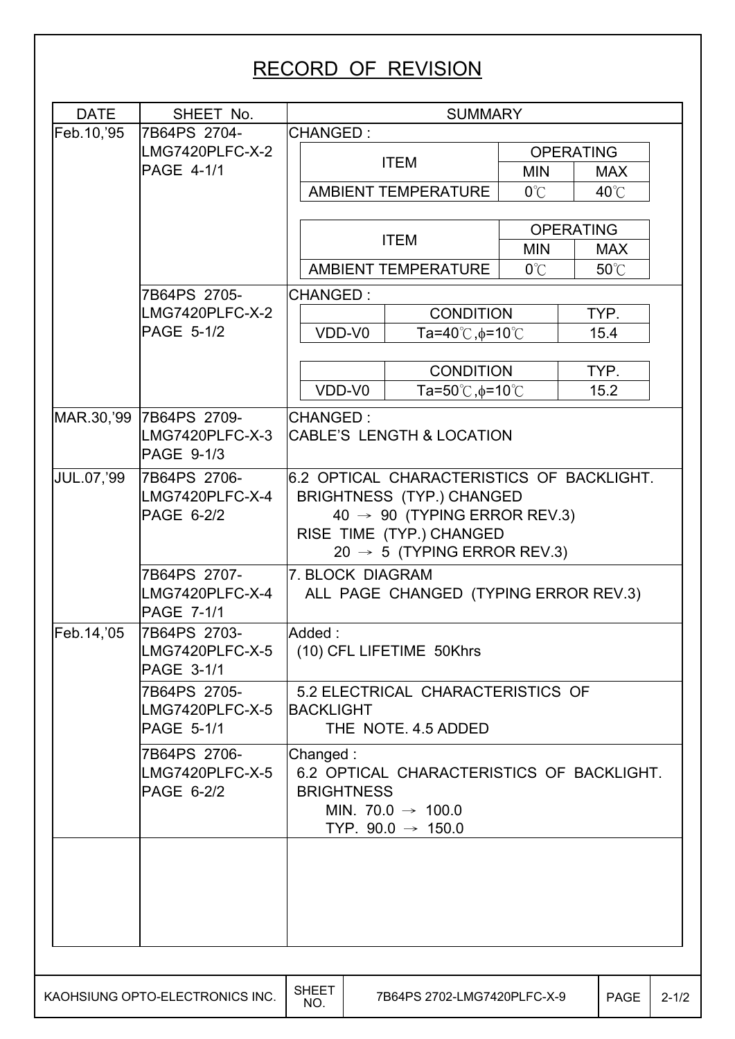# RECORD OF REVISION

| <b>DATE</b>       | SHEET No.                            | <b>SUMMARY</b>      |        |                                           |                  |                |           |
|-------------------|--------------------------------------|---------------------|--------|-------------------------------------------|------------------|----------------|-----------|
| Feb.10, '95       | 7B64PS 2704-                         | <b>CHANGED:</b>     |        |                                           |                  |                |           |
|                   | LMG7420PLFC-X-2                      |                     |        | <b>ITEM</b>                               | <b>OPERATING</b> |                |           |
|                   | <b>PAGE 4-1/1</b>                    |                     |        |                                           | <b>MIN</b>       | <b>MAX</b>     |           |
|                   |                                      |                     |        | <b>AMBIENT TEMPERATURE</b>                | $0^{\circ}$ C    | $40^{\circ}$ C |           |
|                   |                                      |                     |        |                                           | <b>OPERATING</b> |                |           |
|                   |                                      |                     |        | <b>ITEM</b>                               | <b>MIN</b>       | <b>MAX</b>     |           |
|                   |                                      |                     |        | <b>AMBIENT TEMPERATURE</b>                | $0^{\circ}$ C    | 50°C           |           |
|                   |                                      |                     |        |                                           |                  |                |           |
|                   | 7B64PS 2705-<br>LMG7420PLFC-X-2      | <b>CHANGED:</b>     |        | <b>CONDITION</b>                          |                  | TYP.           |           |
|                   | <b>PAGE 5-1/2</b>                    | VDD-V0              |        | Ta=40℃, o=10℃                             |                  | 15.4           |           |
|                   |                                      |                     |        |                                           |                  |                |           |
|                   |                                      |                     |        | <b>CONDITION</b>                          |                  | TYP.           |           |
|                   |                                      |                     | VDD-V0 | Ta=50 $°C$ , $\phi$ =10 $°C$              |                  | 15.2           |           |
|                   | MAR.30,'99 7B64PS 2709-              | <b>CHANGED:</b>     |        |                                           |                  |                |           |
|                   | LMG7420PLFC-X-3<br>PAGE 9-1/3        |                     |        | <b>CABLE'S LENGTH &amp; LOCATION</b>      |                  |                |           |
| <b>JUL.07,'99</b> | 7B64PS 2706-                         |                     |        | 6.2 OPTICAL CHARACTERISTICS OF BACKLIGHT. |                  |                |           |
|                   | LMG7420PLFC-X-4                      |                     |        | <b>BRIGHTNESS (TYP.) CHANGED</b>          |                  |                |           |
|                   | PAGE 6-2/2                           |                     |        | 40 $\rightarrow$ 90 (TYPING ERROR REV.3)  |                  |                |           |
|                   |                                      |                     |        | RISE TIME (TYP.) CHANGED                  |                  |                |           |
|                   |                                      |                     |        | 20 $\rightarrow$ 5 (TYPING ERROR REV.3)   |                  |                |           |
|                   | 7B64PS 2707-                         | 7. BLOCK DIAGRAM    |        |                                           |                  |                |           |
|                   | LMG7420PLFC-X-4<br><b>PAGE 7-1/1</b> |                     |        | ALL PAGE CHANGED (TYPING ERROR REV.3)     |                  |                |           |
| Feb.14,'05        | 7B64PS 2703-                         | Added:              |        |                                           |                  |                |           |
|                   | LMG7420PLFC-X-5<br><b>PAGE 3-1/1</b> |                     |        | (10) CFL LIFETIME 50Khrs                  |                  |                |           |
|                   | 7B64PS 2705-                         |                     |        | 5.2 ELECTRICAL CHARACTERISTICS OF         |                  |                |           |
|                   | LMG7420PLFC-X-5                      | <b>BACKLIGHT</b>    |        |                                           |                  |                |           |
|                   | <b>PAGE 5-1/1</b>                    |                     |        | THE NOTE, 4.5 ADDED                       |                  |                |           |
|                   | 7B64PS 2706-                         | Changed:            |        |                                           |                  |                |           |
|                   | LMG7420PLFC-X-5                      |                     |        | 6.2 OPTICAL CHARACTERISTICS OF BACKLIGHT. |                  |                |           |
|                   | PAGE 6-2/2                           | <b>BRIGHTNESS</b>   |        |                                           |                  |                |           |
|                   |                                      |                     |        | MIN. 70.0 $\rightarrow$ 100.0             |                  |                |           |
|                   |                                      |                     |        | TYP. $90.0 \rightarrow 150.0$             |                  |                |           |
|                   |                                      |                     |        |                                           |                  |                |           |
|                   |                                      |                     |        |                                           |                  |                |           |
|                   |                                      |                     |        |                                           |                  |                |           |
|                   |                                      |                     |        |                                           |                  |                |           |
|                   |                                      |                     |        |                                           |                  |                |           |
|                   |                                      |                     |        |                                           |                  |                |           |
|                   | KAOHSIUNG OPTO-ELECTRONICS INC.      | <b>SHEET</b><br>NO. |        | 7B64PS 2702-LMG7420PLFC-X-9               |                  | PAGE           | $2 - 1/2$ |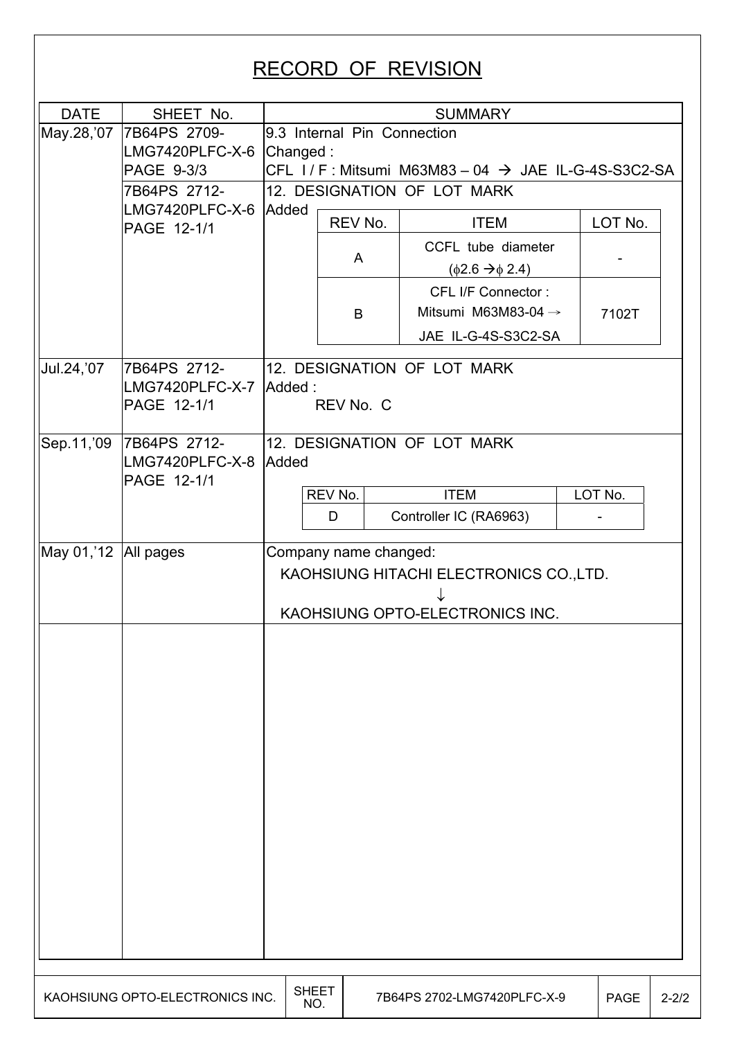# RECORD OF REVISION

| <b>DATE</b>          | SHEET No.                                              |                                                                                                     |                             | <b>SUMMARY</b>                                                               |             |           |  |  |  |
|----------------------|--------------------------------------------------------|-----------------------------------------------------------------------------------------------------|-----------------------------|------------------------------------------------------------------------------|-------------|-----------|--|--|--|
| May.28,'07           | 7B64PS 2709-<br>LMG7420PLFC-X-6 Changed:<br>PAGE 9-3/3 | 9.3 Internal Pin Connection<br>$CFL$ I / F: Mitsumi M63M83 - 04 $\rightarrow$ JAE IL-G-4S-S3C2-SA   |                             |                                                                              |             |           |  |  |  |
|                      | 7B64PS 2712-                                           |                                                                                                     | 12. DESIGNATION OF LOT MARK |                                                                              |             |           |  |  |  |
|                      | LMG7420PLFC-X-6 Added<br>PAGE 12-1/1                   |                                                                                                     | REV No.                     | <b>ITEM</b>                                                                  | LOT No.     |           |  |  |  |
|                      |                                                        |                                                                                                     | A                           | CCFL tube diameter<br>$(\phi$ 2.6 $\rightarrow \phi$ 2.4)                    |             |           |  |  |  |
|                      |                                                        |                                                                                                     | B                           | CFL I/F Connector:<br>Mitsumi M63M83-04 $\rightarrow$<br>JAE IL-G-4S-S3C2-SA | 7102T       |           |  |  |  |
| Jul.24, '07          | 7B64PS 2712-<br>LMG7420PLFC-X-7 Added:<br>PAGE 12-1/1  |                                                                                                     | REV No. C                   | 12. DESIGNATION OF LOT MARK                                                  |             |           |  |  |  |
| Sep.11,'09           | 7B64PS 2712-<br>LMG7420PLFC-X-8 Added<br>PAGE 12-1/1   |                                                                                                     |                             | 12. DESIGNATION OF LOT MARK                                                  |             |           |  |  |  |
|                      |                                                        |                                                                                                     | REV No.<br>D                | <b>ITEM</b><br>Controller IC (RA6963)                                        | LOT No.     |           |  |  |  |
| May 01,'12 All pages |                                                        | Company name changed:<br>KAOHSIUNG HITACHI ELECTRONICS CO., LTD.<br>KAOHSIUNG OPTO-ELECTRONICS INC. |                             |                                                                              |             |           |  |  |  |
|                      |                                                        |                                                                                                     |                             |                                                                              |             |           |  |  |  |
|                      |                                                        |                                                                                                     |                             |                                                                              |             |           |  |  |  |
|                      | KAOHSIUNG OPTO-ELECTRONICS INC.                        | <b>SHEET</b><br>NO.                                                                                 |                             | 7B64PS 2702-LMG7420PLFC-X-9                                                  | <b>PAGE</b> | $2 - 2/2$ |  |  |  |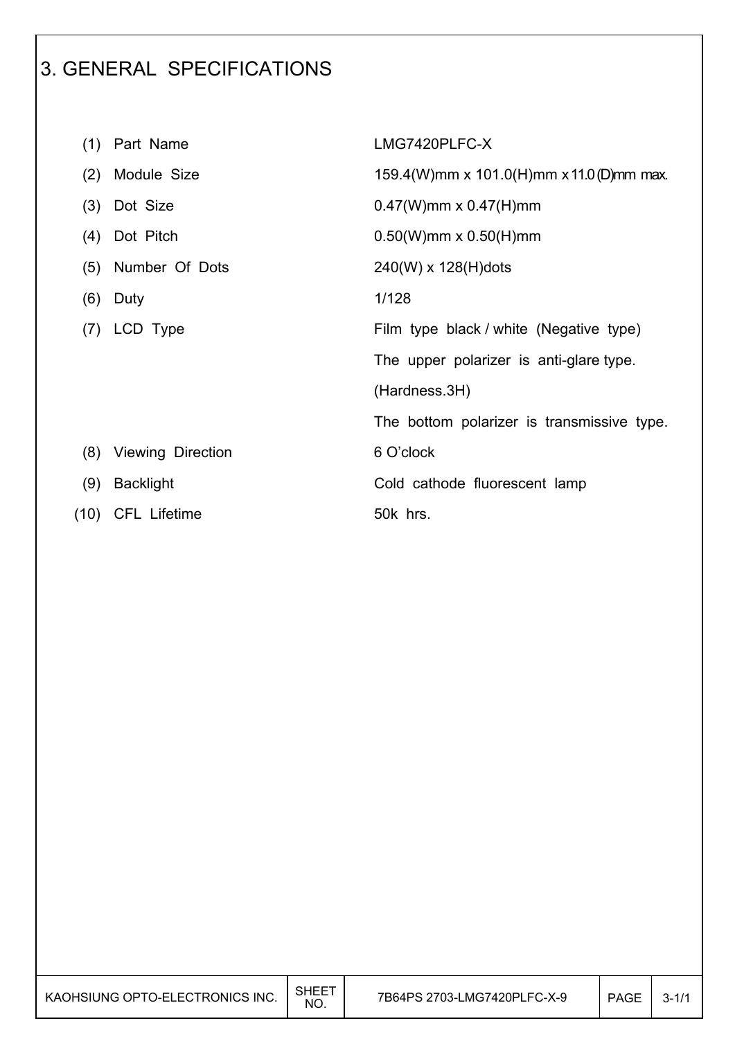# 3. GENERAL SPECIFICATIONS

|      | (1) Part Name       | LMG7420PLFC-X                              |
|------|---------------------|--------------------------------------------|
| (2)  | Module Size         | 159.4(W)mm x 101.0(H)mm x 11.0(D)mm max.   |
| (3)  | Dot Size            | $0.47(W)$ mm x $0.47(H)$ mm                |
|      | (4) Dot Pitch       | $0.50(W)$ mm x $0.50(H)$ mm                |
| (5)  | Number Of Dots      | 240(W) x 128(H)dots                        |
| (6)  | Duty                | 1/128                                      |
| (7)  | LCD Type            | Film type black / white (Negative type)    |
|      |                     | The upper polarizer is anti-glare type.    |
|      |                     | (Hardness.3H)                              |
|      |                     | The bottom polarizer is transmissive type. |
| (8)  | Viewing Direction   | 6 O'clock                                  |
| (9)  | <b>Backlight</b>    | Cold cathode fluorescent lamp              |
| (10) | <b>CFL Lifetime</b> | 50k hrs.                                   |

I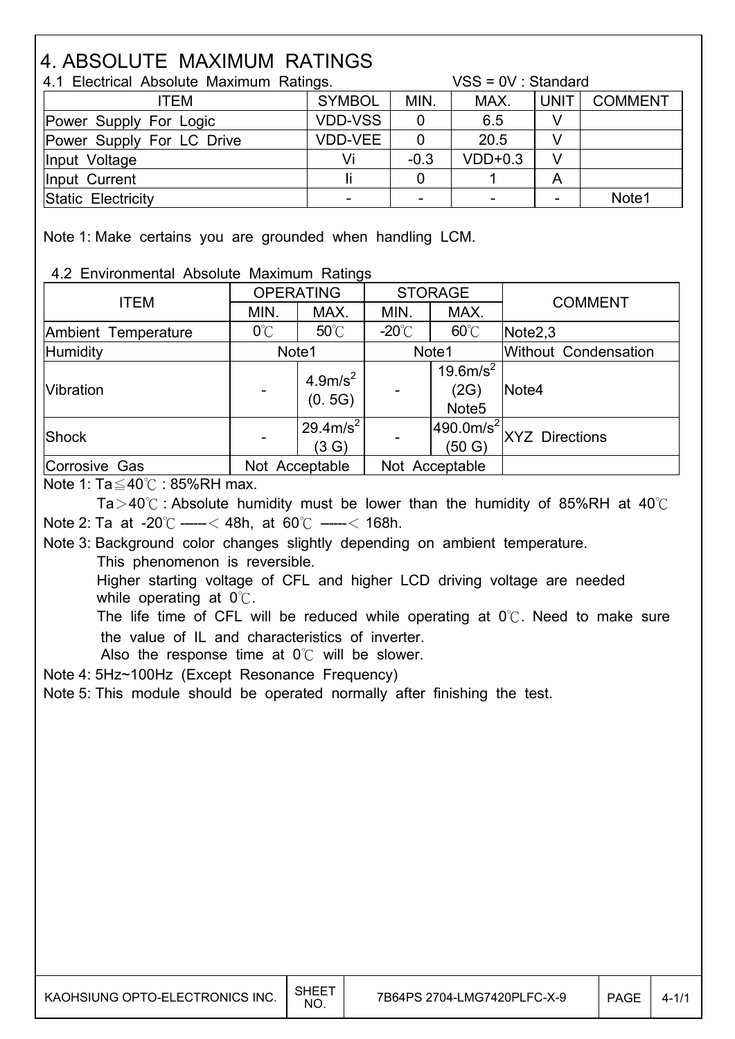# 4. ABSOLUTE MAXIMUM RATINGS

| 4.1 Electrical Absolute Maximum Ratings. |                |        | $VSS = OV : Standard$ |             |                |  |
|------------------------------------------|----------------|--------|-----------------------|-------------|----------------|--|
| <b>ITEM</b>                              | <b>SYMBOL</b>  | MIN.   | MAX.                  | <b>UNIT</b> | <b>COMMENT</b> |  |
| Power Supply For Logic                   | <b>VDD-VSS</b> |        | 6.5                   |             |                |  |
| Power Supply For LC Drive                | <b>VDD-VEE</b> |        | 20.5                  |             |                |  |
| Input Voltage                            | Vi             | $-0.3$ | $VDD+0.3$             | V           |                |  |
| Input Current                            |                |        |                       | A           |                |  |
| Static Electricity                       |                |        |                       |             | Note1          |  |

Note 1: Make certains you are grounded when handling LCM.

4.2 Environmental Absolute Maximum Ratings

| <b>ITEM</b>         | <b>OPERATING</b> |                               |                 | <b>STORAGE</b>                                     | <b>COMMENT</b>        |  |                             |
|---------------------|------------------|-------------------------------|-----------------|----------------------------------------------------|-----------------------|--|-----------------------------|
|                     | MIN.<br>MAX.     |                               | MIN.            | MAX.                                               |                       |  |                             |
| Ambient Temperature | $0^{\circ}$ C    | $50^{\circ}$ C                | $-20^{\circ}$ C | $60^{\circ}$ C                                     | Note <sub>2,3</sub>   |  |                             |
| <b>Humidity</b>     | Note1            |                               | Note1           |                                                    |                       |  | <b>Without Condensation</b> |
| Vibration           |                  | 4.9m/s <sup>2</sup><br>(0.5G) |                 | 19.6 m/s <sup>2</sup><br>(2G)<br>Note <sub>5</sub> | Note4                 |  |                             |
| Shock               |                  | $129.4 \text{m/s}^2$<br>(3 G) |                 | $ 490.0m/s^2 $<br>(50 G)                           | <b>XYZ</b> Directions |  |                             |
| Corrosive Gas       | Not Acceptable   |                               |                 | Not Acceptable                                     |                       |  |                             |

Note 1:  $Ta \leq 40^\circ$ C : 85%RH max.

 $\overline{\phantom{a}}$ 

I

I

 $\overline{\phantom{a}}$ 

Ta > 40 $\degree$  : Absolute humidity must be lower than the humidity of 85%RH at 40 $\degree$ C Note 2: Ta at -20 $\degree$ C -----< 48h, at 60 $\degree$ C -----< 168h.

 Note 3: Background color changes slightly depending on ambient temperature. This phenomenon is reversible.

 Higher starting voltage of CFL and higher LCD driving voltage are needed while operating at  $0^{\circ}$ .

The life time of CFL will be reduced while operating at  $0^{\circ}$ . Need to make sure the value of IL and characteristics of inverter.

Also the response time at  $0^{\circ}$  will be slower.

Note 4: 5Hz~100Hz (Except Resonance Frequency)

Note 5: This module should be operated normally after finishing the test.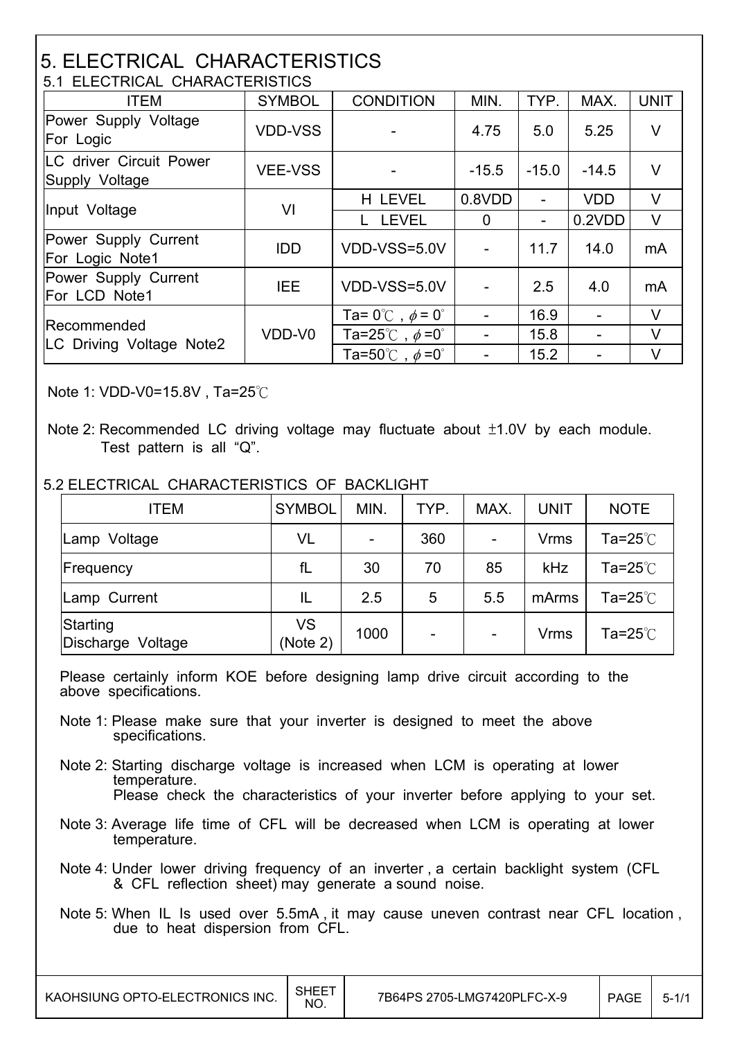#### 5. ELECTRICAL CHARACTERISTICS 5.1 ELECTRICAL CHARACTERISTICS

| <u>3.1 ELEUTRIUAL UNARAUTERISTIUS</u>     |                |                                          |                |                |            |             |  |  |
|-------------------------------------------|----------------|------------------------------------------|----------------|----------------|------------|-------------|--|--|
| <b>ITEM</b>                               | <b>SYMBOL</b>  | <b>CONDITION</b>                         | MIN.           | TYP.           | MAX.       | <b>UNIT</b> |  |  |
| Power Supply Voltage<br>For Logic         | <b>VDD-VSS</b> |                                          | 4.75           | 5.0            | 5.25       | $\vee$      |  |  |
| LC driver Circuit Power<br>Supply Voltage | <b>VEE-VSS</b> |                                          | $-15.5$        | $-15.0$        | $-14.5$    | V           |  |  |
| Input Voltage                             | VI             | H LEVEL                                  | 0.8VDD         |                | <b>VDD</b> | $\vee$      |  |  |
|                                           |                | <b>LEVEL</b>                             | $\overline{0}$ | $\blacksquare$ | 0.2VDD     | V           |  |  |
| Power Supply Current<br>For Logic Note1   | <b>IDD</b>     | VDD-VSS=5.0V                             |                | 11.7           | 14.0       | mA          |  |  |
| Power Supply Current<br>For LCD Note1     | <b>IEE</b>     | VDD-VSS=5.0V                             |                | 2.5            | 4.0        | mA          |  |  |
|                                           |                | Ta= $0^{\circ}$ C, $\phi$ = $0^{\circ}$  |                | 16.9           |            | V           |  |  |
| Recommended                               | VDD-V0         | Ta=25°C, $\phi$ =0°                      |                | 15.8           |            | $\vee$      |  |  |
| LC Driving Voltage Note2                  |                | Ta=50 $^{\circ}$ C, $\phi$ =0 $^{\circ}$ |                | 15.2           |            | V           |  |  |

Note 1: VDD-V0=15.8V, Ta=25 $\degree$ C

I

I

#### 5.2 ELECTRICAL CHARACTERISTICS OF BACKLIGHT

| <b>ITEM</b>                      | <b>SYMBOL</b>  | MIN. | TYP.           | MAX. | <b>UNIT</b> | <b>NOTE</b>             |
|----------------------------------|----------------|------|----------------|------|-------------|-------------------------|
| Lamp Voltage                     | VL             |      | 360            |      | <b>Vrms</b> | Ta=25 $^\circ\!{\rm C}$ |
| Frequency                        | fL             | 30   | 70             | 85   | kHz         | Ta=25 $°C$              |
| Lamp Current                     | IL             | 2.5  | 5              | 5.5  | mArms       | Ta=25 $°C$              |
| Starting<br>Discharge<br>Voltage | VS<br>(Note 2) | 1000 | $\blacksquare$ |      | <b>Vrms</b> | Ta=25 $°C$              |

 Please certainly inform KOE before designing lamp drive circuit according to the above specifications.

- Note 1: Please make sure that your inverter is designed to meet the above specifications.
- Note 2: Starting discharge voltage is increased when LCM is operating at lower temperature. Please check the characteristics of your inverter before applying to your set.
- Note 3: Average life time of CFL will be decreased when LCM is operating at lower temperature.
- Note 4: Under lower driving frequency of an inverter , a certain backlight system (CFL & CFL reflection sheet) may generate a sound noise.
- Note 5: When IL Is used over 5.5mA , it may cause uneven contrast near CFL location , due to heat dispersion from CFL.

Note 2: Recommended LC driving voltage may fluctuate about  $±1.0V$  by each module. Test pattern is all "Q".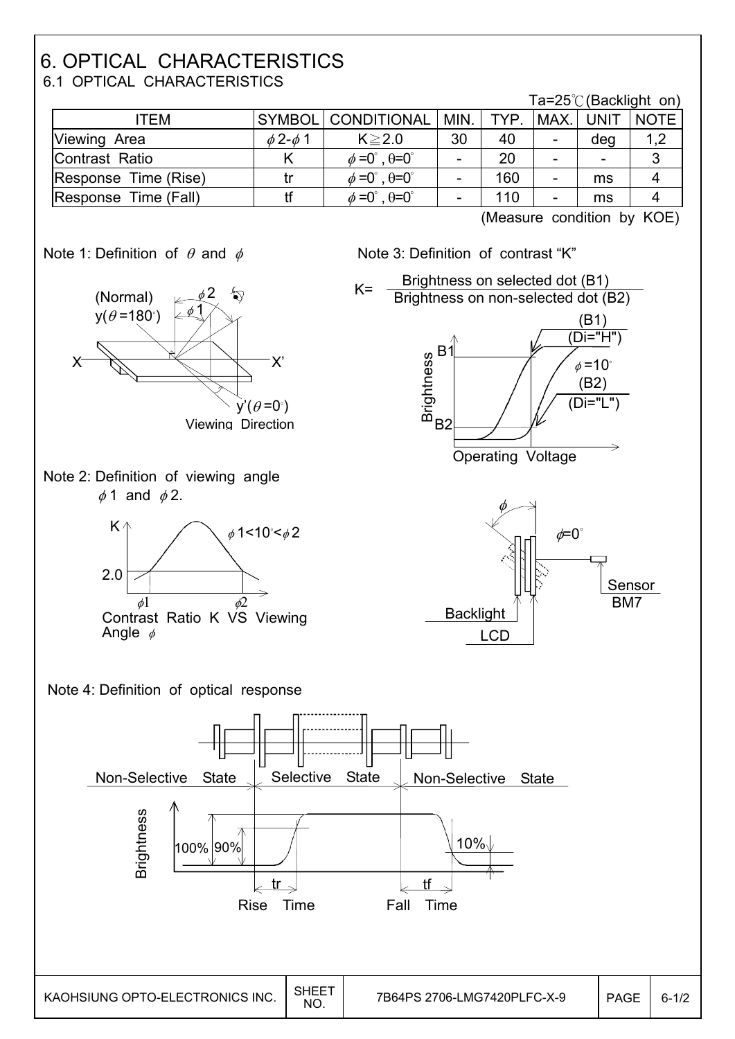## 6. OPTICAL CHARACTERISTICS 6.1 OPTICAL CHARACTERISTICS

|                      |                    |                                           |           |     |      |                          | Ta=25 $\degree$ C (Backlight on) |
|----------------------|--------------------|-------------------------------------------|-----------|-----|------|--------------------------|----------------------------------|
| ITEM                 |                    | SYMBOL CONDITIONAL                        | MIN. TYP. |     | MAX. | <b>UNIT</b>              | <b>NOTE</b>                      |
| Viewing Area         | $\phi$ 2- $\phi$ 1 | $K \geq 2.0$                              | 30        | 40  |      | deg                      | 1,2                              |
| Contrast Ratio       |                    | $\phi = 0^\circ$ , $\theta = 0^\circ$     |           | 20  |      | $\overline{\phantom{0}}$ | 3                                |
| Response Time (Rise) |                    | $\phi = 0^{\circ}$ , $\theta = 0^{\circ}$ |           | 160 |      | ms                       |                                  |
| Response Time (Fall) |                    | $\phi = 0^\circ$ , $\theta = 0^\circ$     |           | 110 |      | ms                       |                                  |

(Measure condition by KOE)







Operating Voltage



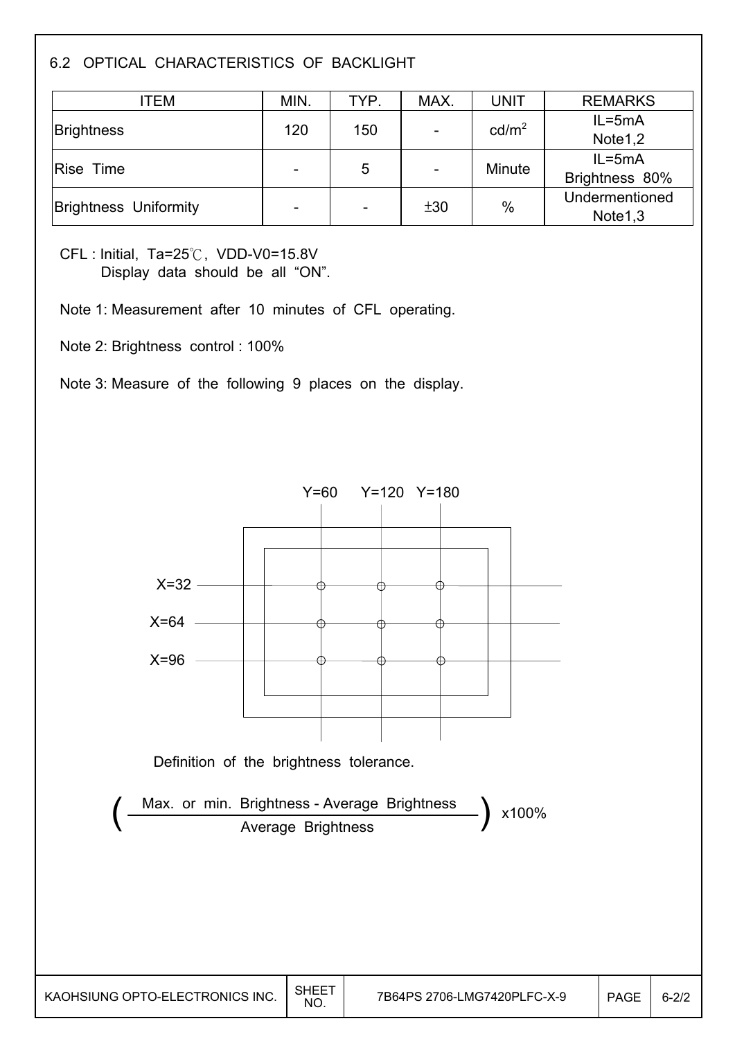## 6.2 OPTICAL CHARACTERISTICS OF BACKLIGHT

| ITEM                         | MIN.                     | TYP.                     | MAX.                     | <b>UNIT</b>       | <b>REMARKS</b>      |
|------------------------------|--------------------------|--------------------------|--------------------------|-------------------|---------------------|
| <b>Brightness</b>            |                          | 150                      |                          | cd/m <sup>2</sup> | $IL = 5mA$          |
|                              | 120                      |                          |                          |                   | Note1,2             |
| Rise Time                    |                          | 5                        |                          | Minute            | $IL = 5mA$          |
|                              | $\overline{\phantom{a}}$ |                          | $\overline{\phantom{a}}$ |                   | Brightness 80%      |
| <b>Brightness Uniformity</b> |                          |                          | ±30                      | $\frac{0}{0}$     | Undermentioned      |
|                              | $\overline{\phantom{a}}$ | $\overline{\phantom{a}}$ |                          |                   | Note <sub>1,3</sub> |

 $CFL$ : Initial, Ta=25 $\degree$ C, VDD-V0=15.8V Display data should be all "ON".

Note 1: Measurement after 10 minutes of CFL operating.

Note 2: Brightness control : 100%

I

I

Note 3: Measure of the following 9 places on the display.

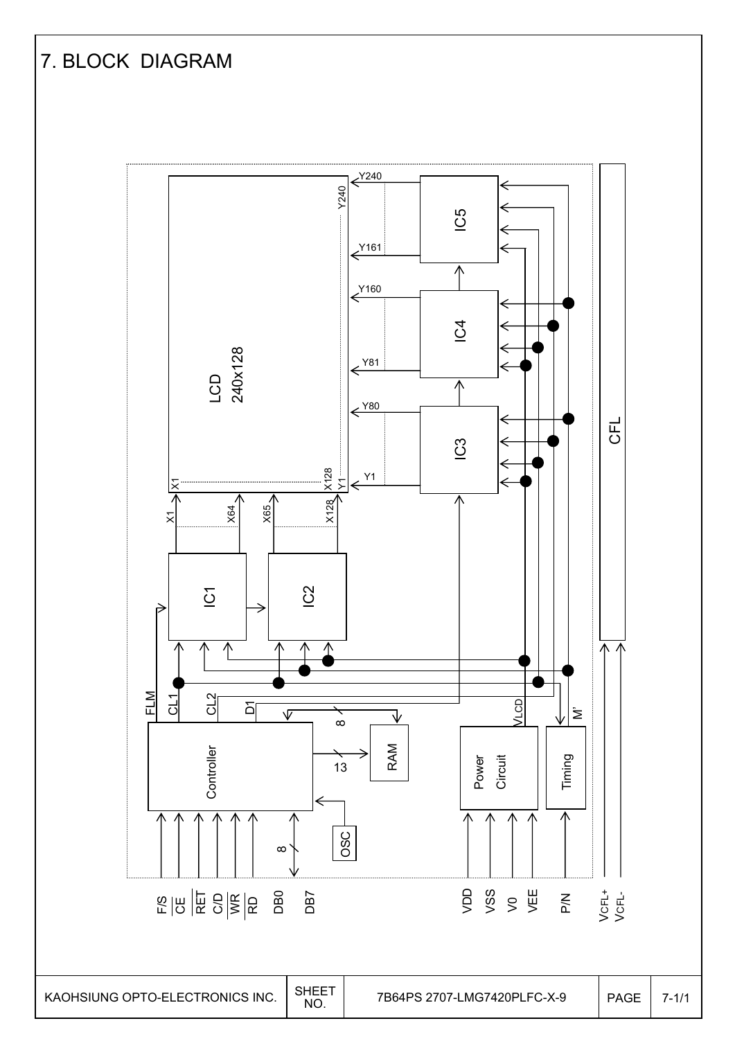#### 7. BLOCK DIAGRAM  $\xrightarrow{Y240}$ Y240 Y1 Y240 IC5 IC5 I<sup>N</sup> IC1 IC1 IC1 IC1  $\xleftarrow{\text{Y161}}$ ∧  $\xleftarrow{\text{Y160}}$  $\overline{C}$ LCD<br>240x128 240x128  $\xleftarrow{\text{Y81}}$  $\overline{\Lambda}$  $\xrightarrow{Y80}$ CFL  $\mathbb{C}^3$  $\frac{\times 128}{\times 1}$ X128 X128 Y1 ⇐ |X  $X128$  $X65<sub>2</sub>$ X64  $\overline{\times}$ IC2  $\overline{C}$ FLM CL1 CL2 VLCD  $\overline{D}$  $\sqrt{ }$ Timing M' ↴  $\frac{8}{13}$ RAM **Controller** Controller Power<br>Circuit OSC  $\infty$ DD<br>VSS<br>> > > <u>V</u><br>>  $\frac{1}{2}$   $\frac{1}{2}$   $\frac{1}{2}$   $\frac{1}{2}$   $\frac{1}{2}$   $\frac{1}{2}$   $\frac{1}{2}$   $\frac{1}{2}$   $\frac{1}{2}$   $\frac{1}{2}$   $\frac{1}{2}$   $\frac{1}{2}$   $\frac{1}{2}$   $\frac{1}{2}$   $\frac{1}{2}$   $\frac{1}{2}$   $\frac{1}{2}$   $\frac{1}{2}$   $\frac{1}{2}$   $\frac{1}{2}$   $\frac{1}{2}$   $\frac{1}{2}$  DB0 DB7 P/N VCFL+ VCFL-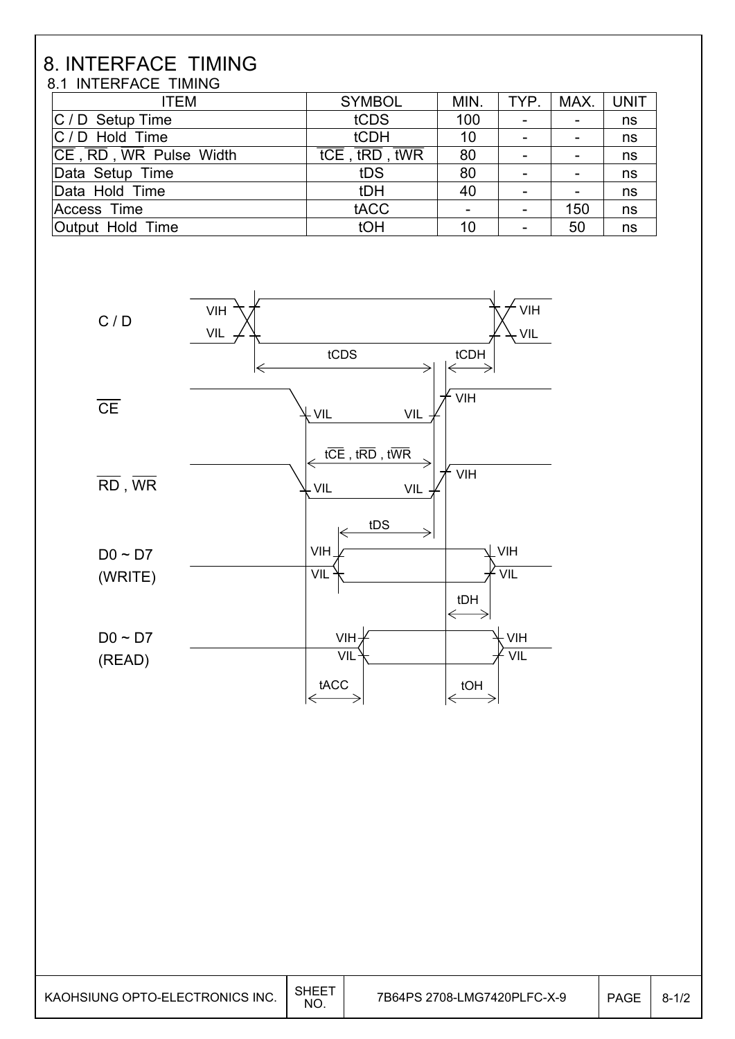#### 8. INTERFACE TIMING 8.1 INTERFACE TIMING

 $\overline{\phantom{a}}$ 

| <b>ITEM</b>            | <b>SYMBOL</b> | MIN. | TYP.                     | MAX. | <b>UNIT</b> |
|------------------------|---------------|------|--------------------------|------|-------------|
| C / D Setup Time       | tCDS          | 100  | $\overline{\phantom{a}}$ |      | ns          |
| $ C / D$ Hold Time     | tCDH          | 10   | $\overline{\phantom{a}}$ |      | ns          |
| CE, RD, WR Pulse Width | tCE, tRD, tWR | 80   | $\overline{\phantom{0}}$ |      | ns          |
| Data Setup Time        | tDS           | 80   | $\overline{\phantom{a}}$ |      | ns          |
| Data Hold Time         | tDH           | 40   | -                        |      | ns          |
| <b>Access Time</b>     | tACC          |      |                          | 150  | ns          |
| Output Hold Time       | tOH           | 10   | -                        | 50   | ns          |

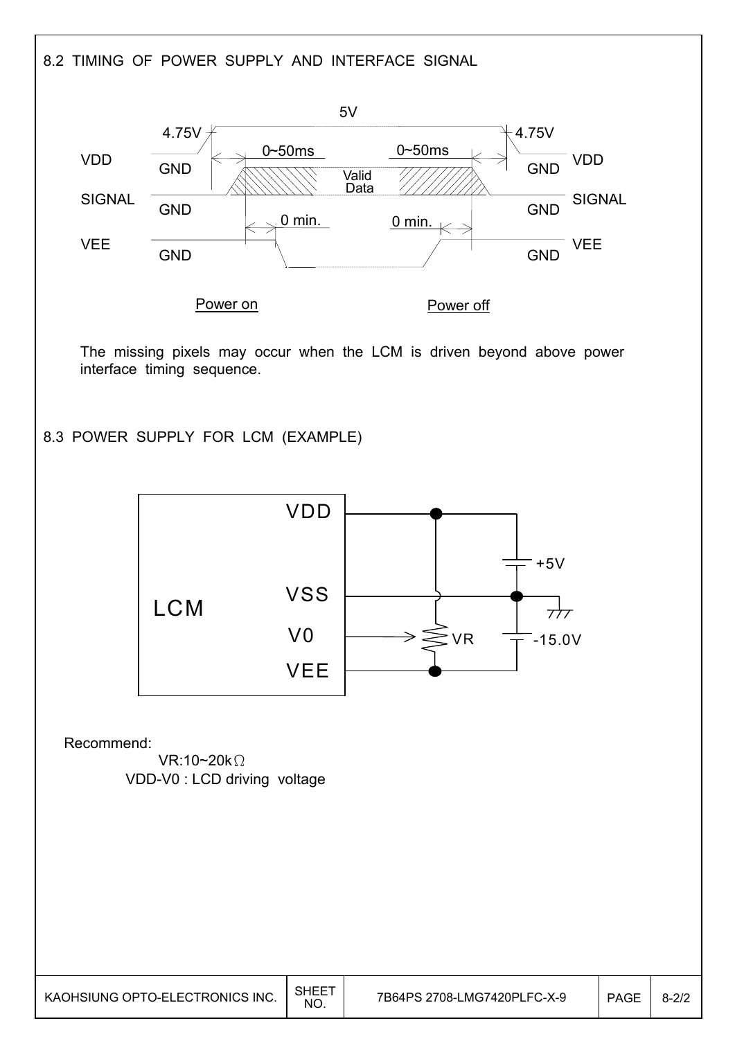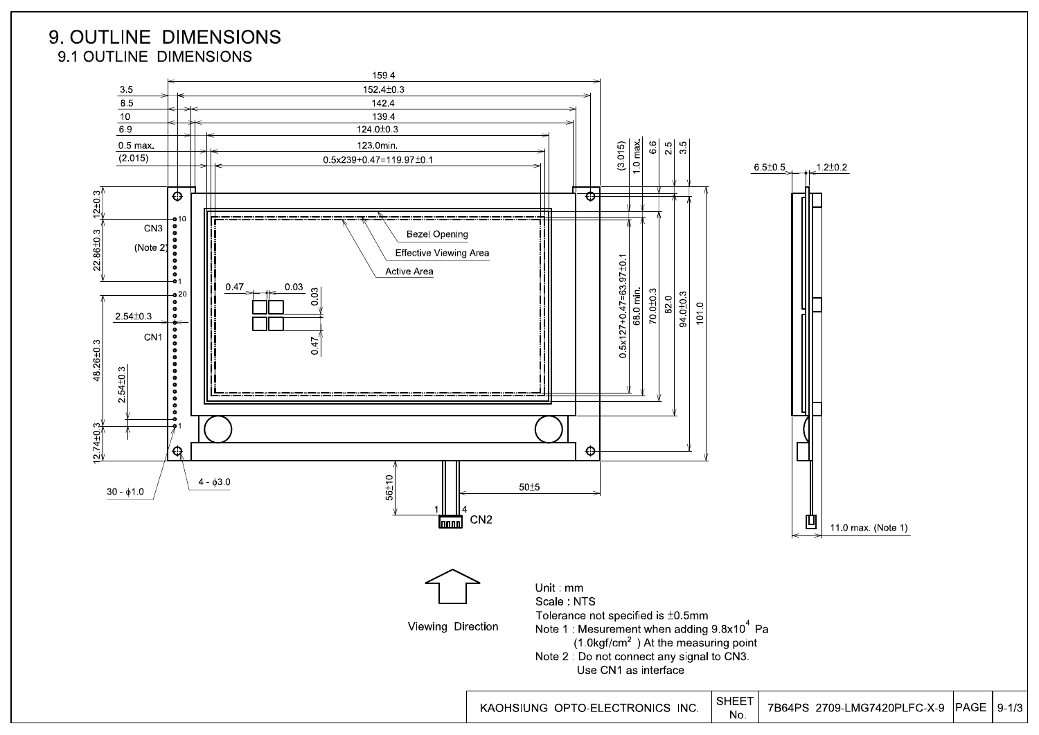



 $PAGE | 9-1/3$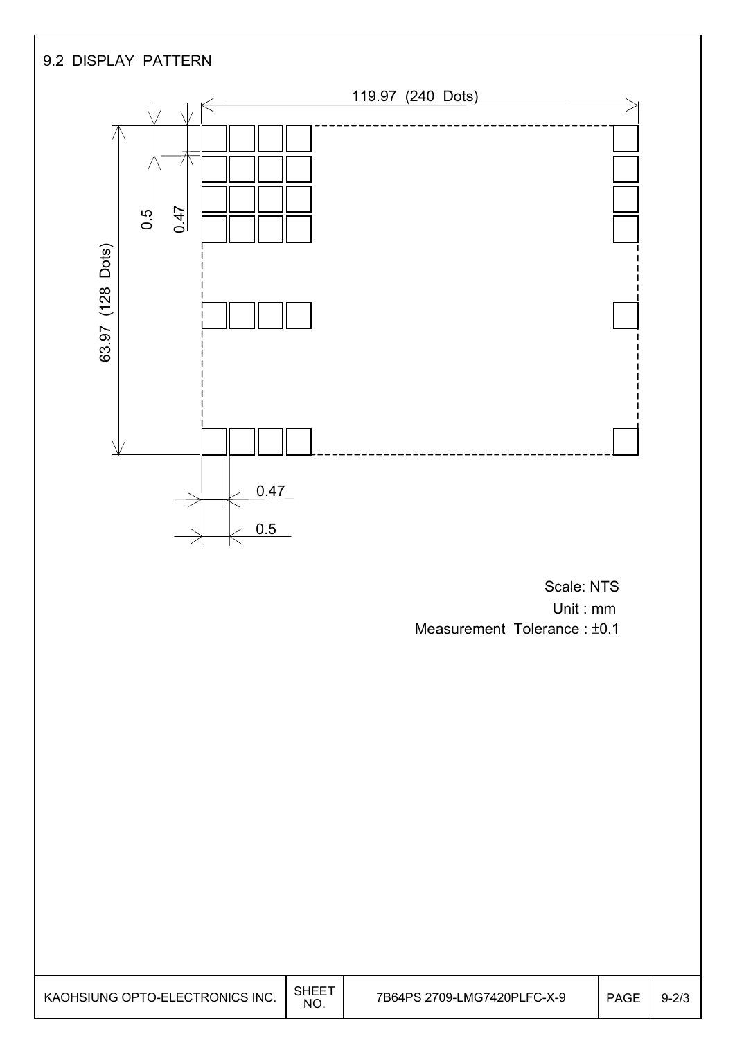

 Unit : mm Measurement Tolerance :  $±0.1$ 

| KAOHSIUNG OPTO-ELECTRONICS INC. | SHEE<br>NG. | 7B64PS 2709-LMG7420PLFC-X-9 | <b>PAGE</b> | $9 - 2/3$ |
|---------------------------------|-------------|-----------------------------|-------------|-----------|
|---------------------------------|-------------|-----------------------------|-------------|-----------|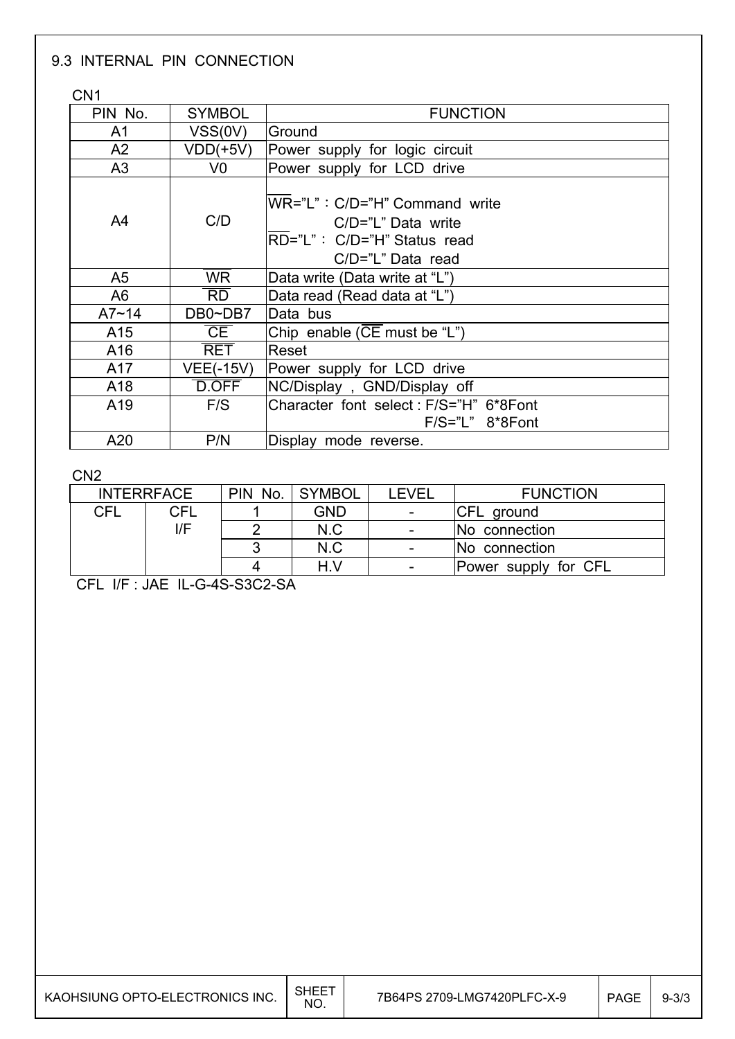#### 9.3 INTERNAL PIN CONNECTION

C<sub>N1</sub>

I

| ◡╷▾╷           |                        |                                                                                                           |
|----------------|------------------------|-----------------------------------------------------------------------------------------------------------|
| PIN No.        | <b>SYMBOL</b>          | <b>FUNCTION</b>                                                                                           |
| A <sub>1</sub> | VSS(0V)                | Ground                                                                                                    |
| A2             | $VDD(+5V)$             | Power supply for logic circuit                                                                            |
| A3             | V <sub>0</sub>         | Power supply for LCD drive                                                                                |
| A4             | C/D                    | WR="L": C/D="H" Command write<br>$C/D="L" Data write$<br>RD="L": C/D="H" Status read<br>C/D="L" Data read |
| A5             | $\overline{\text{WR}}$ | Data write (Data write at "L")                                                                            |
| A6             | $\overline{RD}$        | Data read (Read data at "L")                                                                              |
| $A7 - 14$      | DB0~DB7                | Data bus                                                                                                  |
| A15            | CE                     | Chip enable ( $\overline{CE}$ must be "L")                                                                |
| A16            | $\overline{\sf RET}$   | Reset                                                                                                     |
| A17            | <b>VEE(-15V)</b>       | Power supply for LCD drive                                                                                |
| A18            | D.OFF                  | NC/Display, GND/Display off                                                                               |
| A19            | F/S                    | Character font select: F/S="H" 6*8Font<br>$F/S="L" 8*8Font$                                               |
| A20            | P/N                    | Display mode reverse.                                                                                     |

CN2

I I

| <b>INTERRFACE</b> |     | PIN No. | <b>SYMBOL</b> | <b>EVEL</b>              | <b>FUNCTION</b>      |
|-------------------|-----|---------|---------------|--------------------------|----------------------|
| CFL               | CFL |         | GND           | $\overline{\phantom{0}}$ | <b>ICFL</b> ground   |
| I/F               |     |         | N.C           | -                        | No connection        |
|                   |     |         | N.C           | $\overline{\phantom{a}}$ | No connection        |
|                   |     |         | H.V           |                          | Power supply for CFL |

CFL I/F : JAE IL-G-4S-S3C2-SA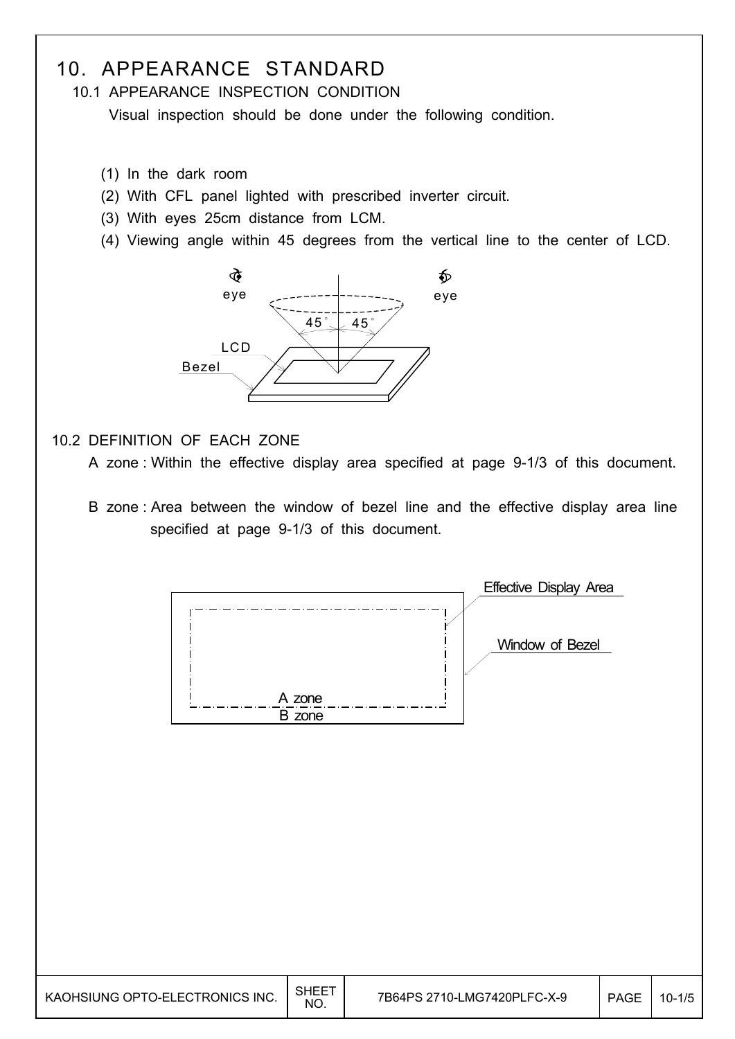## 10. APPEARANCE STANDARD

10.1 APPEARANCE INSPECTION CONDITION

Visual inspection should be done under the following condition.

- (1) In the dark room
- (2) With CFL panel lighted with prescribed inverter circuit.
- (3) With eyes 25cm distance from LCM.
- (4) Viewing angle within 45 degrees from the vertical line to the center of LCD.



### 10.2 DEFINITION OF EACH ZONE

A zone : Within the effective display area specified at page 9-1/3 of this document.

 B zone : Area between the window of bezel line and the effective display area line specified at page 9-1/3 of this document.

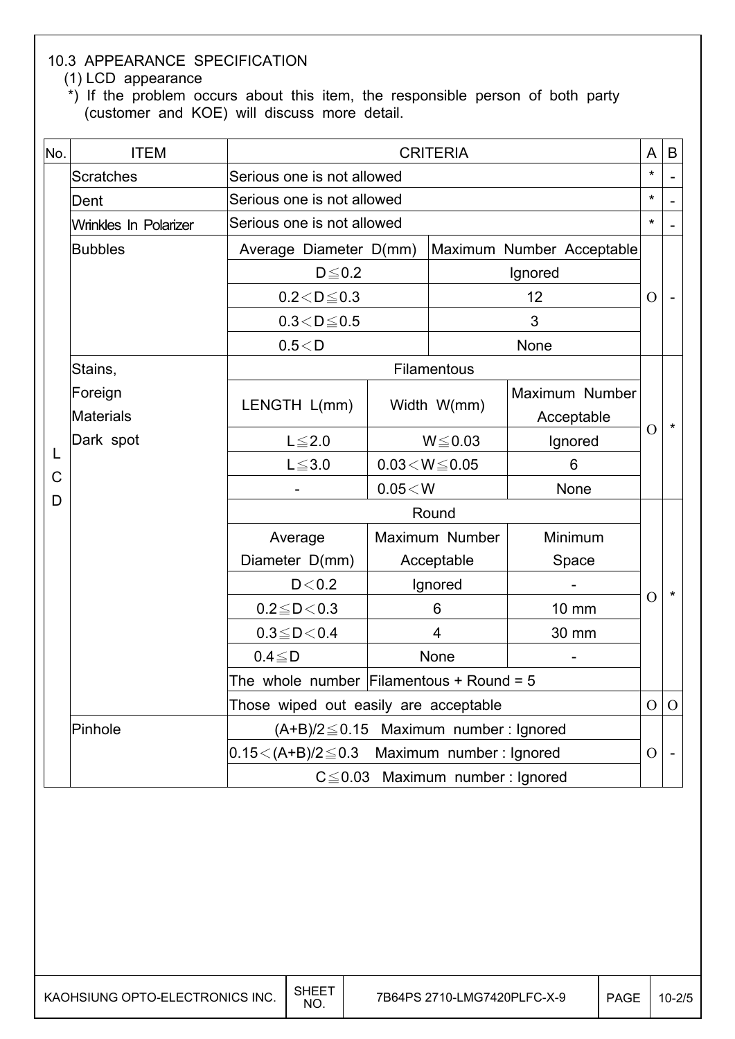### 10.3 APPEARANCE SPECIFICATION

(1) LCD appearance

\*) If the problem occurs about this item, the responsible person of both party (customer and KOE) will discuss more detail.

| No. | <b>ITEM</b>           | <b>CRITERIA</b>                                   |                          |                           |                |               |                |
|-----|-----------------------|---------------------------------------------------|--------------------------|---------------------------|----------------|---------------|----------------|
|     | <b>Scratches</b>      | Serious one is not allowed                        |                          |                           |                |               |                |
|     | Dent                  | Serious one is not allowed                        |                          |                           |                |               |                |
|     | Wrinkles In Polarizer | Serious one is not allowed                        |                          |                           |                |               |                |
|     | <b>Bubbles</b>        | Average Diameter D(mm)                            |                          | Maximum Number Acceptable |                |               |                |
|     |                       | $D \leq 0.2$                                      |                          | Ignored                   |                |               |                |
|     |                       | $0.2 < D \le 0.3$                                 |                          |                           | 12             | $\Omega$      |                |
|     |                       | $0.3 < D \le 0.5$                                 |                          |                           | 3              |               |                |
|     |                       | 0.5 < D                                           |                          |                           | None           |               |                |
|     | Stains,               |                                                   |                          | Filamentous               |                |               |                |
|     | Foreign               | LENGTH L(mm)                                      | Width W(mm)              |                           | Maximum Number |               |                |
| L   | <b>Materials</b>      |                                                   |                          |                           | Acceptable     | $\mathcal{O}$ | $\star$        |
|     | Dark spot             | $L \leq 2.0$                                      | $W \le 0.03$             |                           | Ignored        |               |                |
| C   |                       | $L \le 3.0$                                       | $0.03\!<\!W\!\leq\!0.05$ |                           | 6              |               |                |
| D   |                       |                                                   | $0.05\!<\!W$             |                           | None           |               |                |
|     |                       | Round                                             |                          |                           |                |               |                |
|     |                       | Average                                           |                          | Maximum Number            | Minimum        |               |                |
|     |                       | Diameter D(mm)                                    | Acceptable               |                           | Space          |               |                |
|     |                       | D < 0.2                                           |                          | Ignored                   |                | $\Omega$      | $\star$        |
|     |                       | $0.2 \leq D \leq 0.3$                             | 6                        |                           | <b>10 mm</b>   |               |                |
|     |                       | $0.3 \leq D < 0.4$                                | $\overline{4}$           |                           | 30 mm          |               |                |
|     |                       | $0.4 \leq D$                                      |                          | None                      |                |               |                |
|     |                       | The whole number Filamentous + Round = $5$        |                          |                           |                |               |                |
|     |                       | Those wiped out easily are acceptable             |                          |                           |                |               | $\overline{O}$ |
|     | Pinhole               | $(A+B)/2 \leq 0.15$ Maximum number: Ignored       |                          |                           |                |               |                |
|     |                       | $0.15 < (A+B)/2 \leq 0.3$ Maximum number: Ignored |                          |                           |                | $\Omega$      | $\blacksquare$ |
|     |                       | $C \leq 0.03$ Maximum number: Ignored             |                          |                           |                |               |                |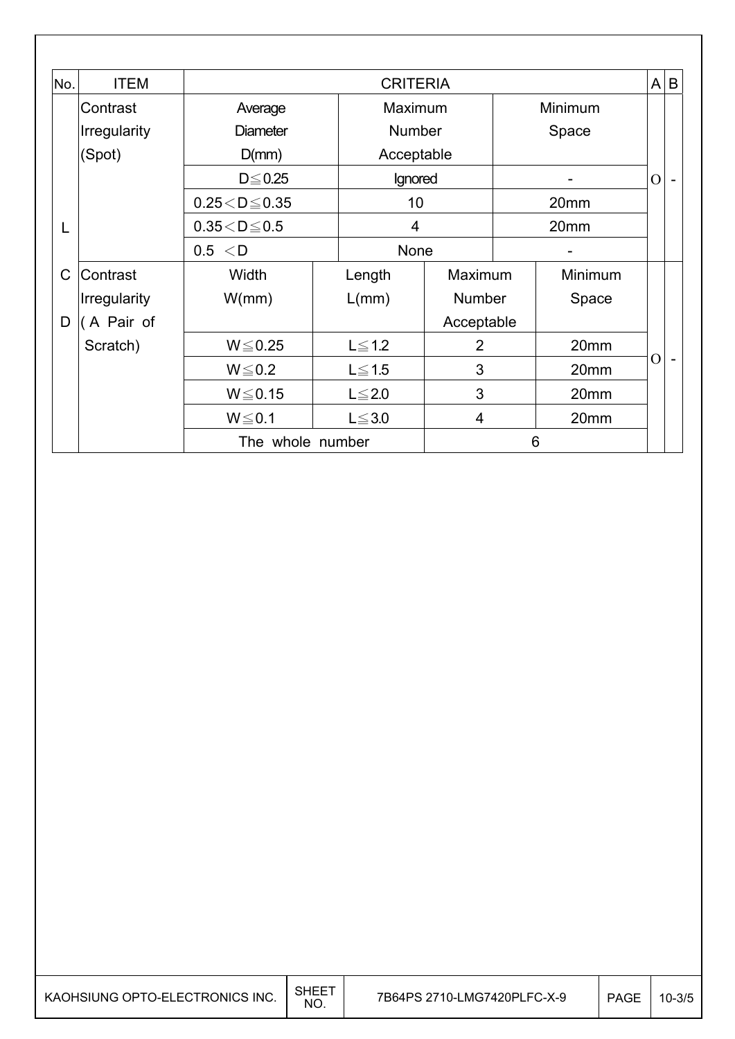| No.         | <b>ITEM</b>         |                         | <b>CRITERIA</b> |               |                |   |         | A        | $\mathsf B$              |
|-------------|---------------------|-------------------------|-----------------|---------------|----------------|---|---------|----------|--------------------------|
|             | Contrast            | Average                 |                 | Maximum       |                |   | Minimum |          |                          |
|             | <b>Irregularity</b> | <b>Diameter</b>         |                 | <b>Number</b> |                |   | Space   |          |                          |
|             | (Spot)              | D(mm)                   |                 | Acceptable    |                |   |         |          |                          |
|             |                     | $D \le 0.25$            |                 | Ignored       |                |   |         | $\Omega$ |                          |
|             |                     | $0.25 < D \le 0.35$     |                 | 10            |                |   | 20mm    |          |                          |
| L           |                     | $0.35\!<\!D\!\leq\!0.5$ |                 | 4             |                |   | 20mm    |          |                          |
|             |                     | 0.5 < D                 |                 | None          |                |   |         |          |                          |
| $\mathsf C$ | Contrast            | Width                   |                 | Length        | Maximum        |   | Minimum |          |                          |
|             | <b>Irregularity</b> | W/mm)                   |                 | L(mm)         | <b>Number</b>  |   | Space   |          |                          |
| D           | (A Pair of          |                         |                 |               | Acceptable     |   |         |          |                          |
|             | Scratch)            | $W \le 0.25$            |                 | $L \leq 1.2$  | $\overline{2}$ |   | 20mm    |          |                          |
|             |                     | $W \le 0.2$             |                 | $L \leq 1.5$  | 3              |   | 20mm    | O        | $\overline{\phantom{0}}$ |
|             |                     | $W \le 0.15$            |                 | $L \leq 2.0$  | 3              |   | 20mm    |          |                          |
|             |                     | $W \le 0.1$             |                 | $L \leq 3.0$  | 4              |   | 20mm    |          |                          |
|             |                     | The whole number        |                 |               |                | 6 |         |          |                          |

 $\overline{\phantom{a}}$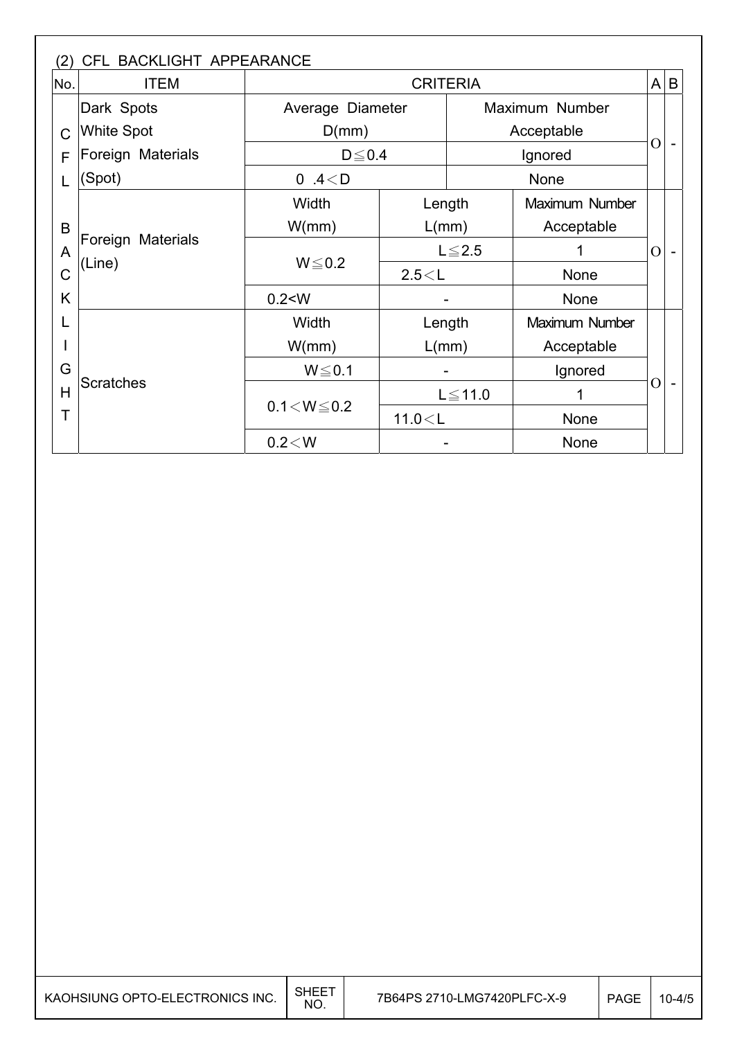| No.                                        | <b>ITEM</b>       |                   |              | <b>CRITERIA</b> |                 | A              | $\sf B$ |
|--------------------------------------------|-------------------|-------------------|--------------|-----------------|-----------------|----------------|---------|
|                                            | Dark Spots        | Average Diameter  |              | Maximum Number  |                 |                |         |
| $\mathcal C$                               | <b>White Spot</b> | D(mm)             |              |                 | Acceptable      | $\overline{O}$ |         |
| F                                          | Foreign Materials | $D \leq 0.4$      |              |                 | Ignored<br>None |                |         |
|                                            | (Spot)            | 0.4 $<$ D         |              |                 |                 |                |         |
| B<br>Foreign Materials<br>A<br>(Line)<br>C |                   | Width             | Length       |                 | Maximum Number  |                |         |
|                                            |                   | W/mm)<br>L/mm)    |              |                 | Acceptable      |                |         |
|                                            |                   |                   | $L \leq 2.5$ |                 |                 | $\Omega$       |         |
|                                            |                   | $W \le 0.2$       | 2.5 < L      |                 | None            |                |         |
| K                                          |                   | 0.2 < W           |              |                 | <b>None</b>     |                |         |
|                                            |                   | Width             | Length       |                 | Maximum Number  |                |         |
|                                            |                   | W/mm)             | L/mm)        |                 | Acceptable      |                |         |
| G                                          |                   | $W \le 0.1$       |              |                 | Ignored         |                |         |
| H                                          | <b>Scratches</b>  |                   |              | $L \le 11.0$    |                 | $\mathcal{O}$  |         |
| Τ                                          |                   | $0.1 < W \le 0.2$ | 11.0 < L     |                 | None            |                |         |
|                                            |                   | 0.2 < W           |              |                 | <b>None</b>     |                |         |

 $\overline{\phantom{a}}$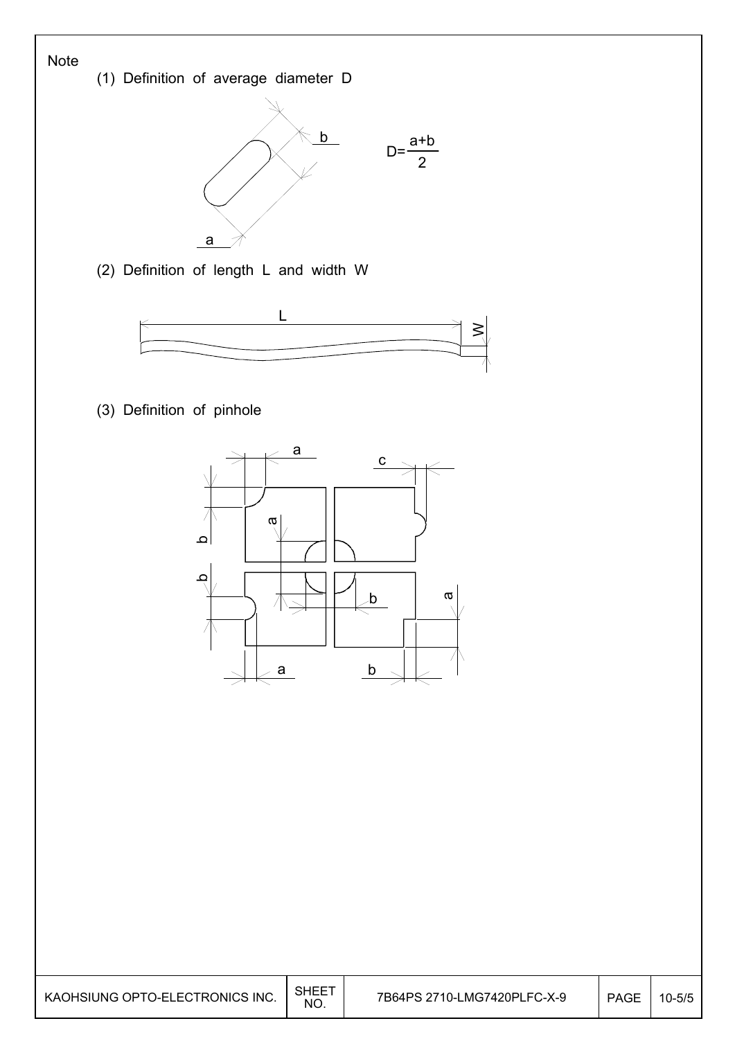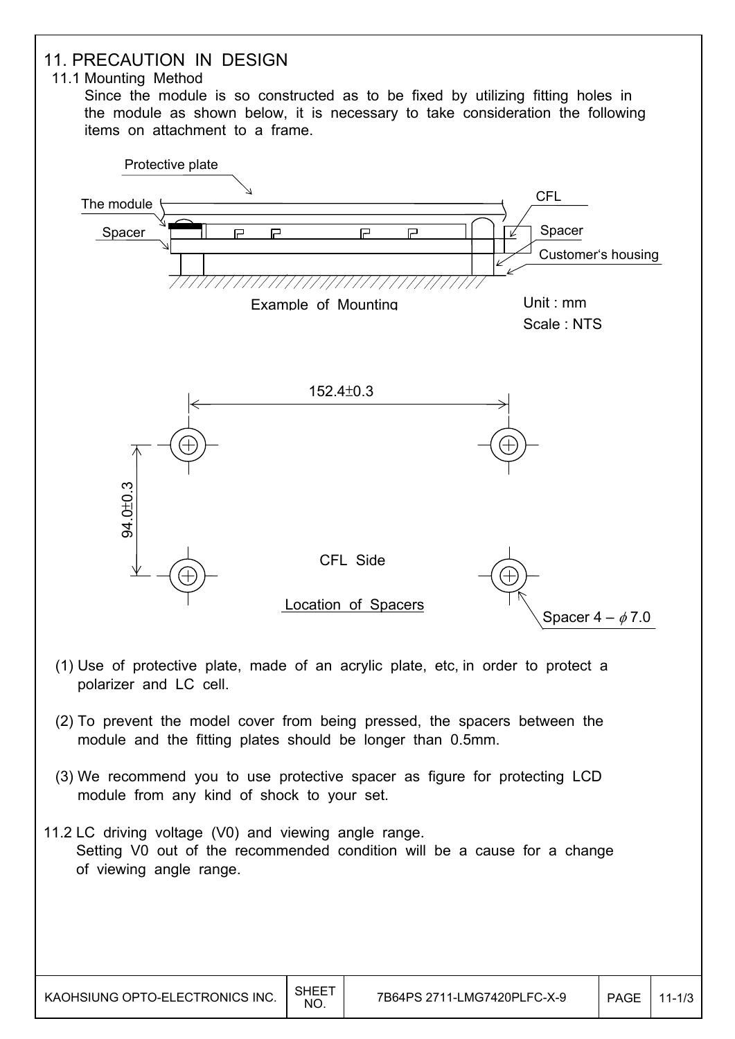![](_page_19_Figure_0.jpeg)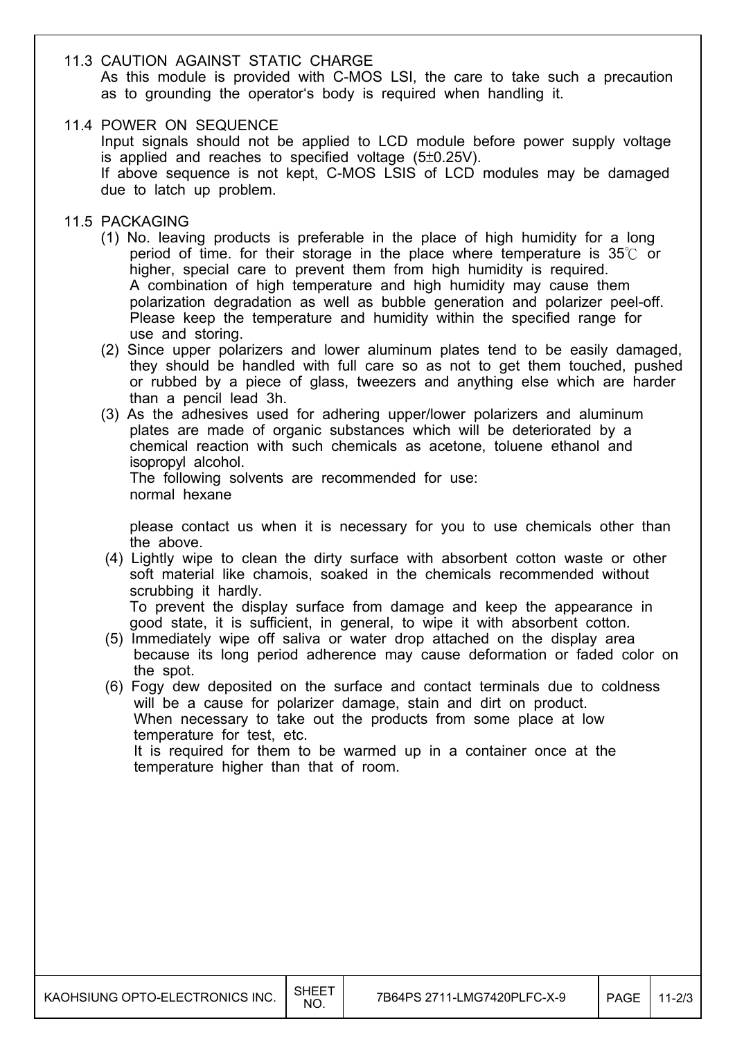#### 11.3 CAUTION AGAINST STATIC CHARGE

 As this module is provided with C-MOS LSI, the care to take such a precaution as to grounding the operator's body is required when handling it.

#### 11.4 POWER ON SEQUENCE

 Input signals should not be applied to LCD module before power supply voltage is applied and reaches to specified voltage  $(5\pm0.25V)$ . If above sequence is not kept, C-MOS LSIS of LCD modules may be damaged due to latch up problem.

#### 11.5 PACKAGING

- (1) No. leaving products is preferable in the place of high humidity for a long period of time. for their storage in the place where temperature is  $35^\circ$  or higher, special care to prevent them from high humidity is required. A combination of high temperature and high humidity may cause them polarization degradation as well as bubble generation and polarizer peel-off. Please keep the temperature and humidity within the specified range for use and storing.
- (2) Since upper polarizers and lower aluminum plates tend to be easily damaged, they should be handled with full care so as not to get them touched, pushed or rubbed by a piece of glass, tweezers and anything else which are harder than a pencil lead 3h.
- (3) As the adhesives used for adhering upper/lower polarizers and aluminum plates are made of organic substances which will be deteriorated by a chemical reaction with such chemicals as acetone, toluene ethanol and isopropyl alcohol. The following solvents are recommended for use:

normal hexane

 please contact us when it is necessary for you to use chemicals other than the above.

 (4) Lightly wipe to clean the dirty surface with absorbent cotton waste or other soft material like chamois, soaked in the chemicals recommended without scrubbing it hardly.

 To prevent the display surface from damage and keep the appearance in good state, it is sufficient, in general, to wipe it with absorbent cotton.

- (5) Immediately wipe off saliva or water drop attached on the display area because its long period adherence may cause deformation or faded color on the spot.
- (6) Fogy dew deposited on the surface and contact terminals due to coldness will be a cause for polarizer damage, stain and dirt on product. When necessary to take out the products from some place at low temperature for test, etc. It is required for them to be warmed up in a container once at the temperature higher than that of room.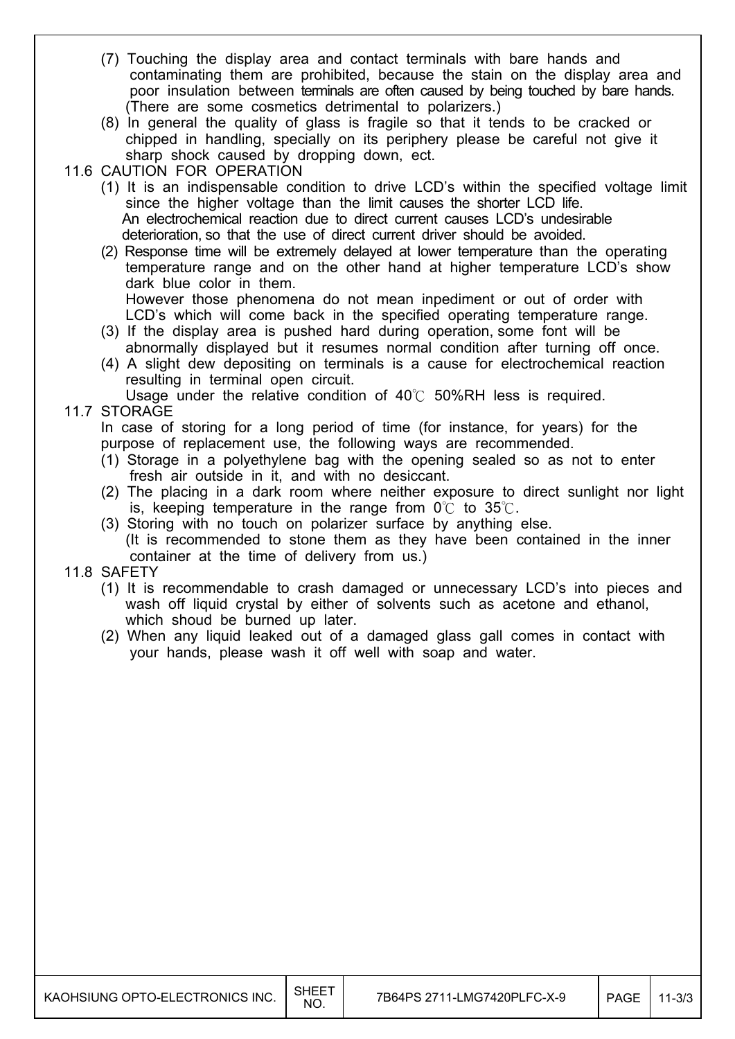- (7) Touching the display area and contact terminals with bare hands and contaminating them are prohibited, because the stain on the display area and poor insulation between terminals are often caused by being touched by bare hands. (There are some cosmetics detrimental to polarizers.)
- (8) In general the quality of glass is fragile so that it tends to be cracked or chipped in handling, specially on its periphery please be careful not give it sharp shock caused by dropping down, ect.
- 11.6 CAUTION FOR OPERATION
	- (1) It is an indispensable condition to drive LCD's within the specified voltage limit since the higher voltage than the limit causes the shorter LCD life. An electrochemical reaction due to direct current causes LCD's undesirable deterioration, so that the use of direct current driver should be avoided.
	- (2) Response time will be extremely delayed at lower temperature than the operating temperature range and on the other hand at higher temperature LCD's show dark blue color in them.

 However those phenomena do not mean inpediment or out of order with LCD's which will come back in the specified operating temperature range.

- (3) If the display area is pushed hard during operation, some font will be abnormally displayed but it resumes normal condition after turning off once.
- (4) A slight dew depositing on terminals is a cause for electrochemical reaction resulting in terminal open circuit.

Usage under the relative condition of  $40^{\circ}$ C 50%RH less is required.

#### 11.7 STORAGE

 In case of storing for a long period of time (for instance, for years) for the purpose of replacement use, the following ways are recommended.

- (1) Storage in a polyethylene bag with the opening sealed so as not to enter fresh air outside in it, and with no desiccant.
- (2) The placing in a dark room where neither exposure to direct sunlight nor light is, keeping temperature in the range from  $0^{\circ}$  to  $35^{\circ}$ .
- (3) Storing with no touch on polarizer surface by anything else.
- (It is recommended to stone them as they have been contained in the inner container at the time of delivery from us.)

#### 11.8 SAFETY

- (1) It is recommendable to crash damaged or unnecessary LCD's into pieces and wash off liquid crystal by either of solvents such as acetone and ethanol, which shoud be burned up later.
- (2) When any liquid leaked out of a damaged glass gall comes in contact with your hands, please wash it off well with soap and water.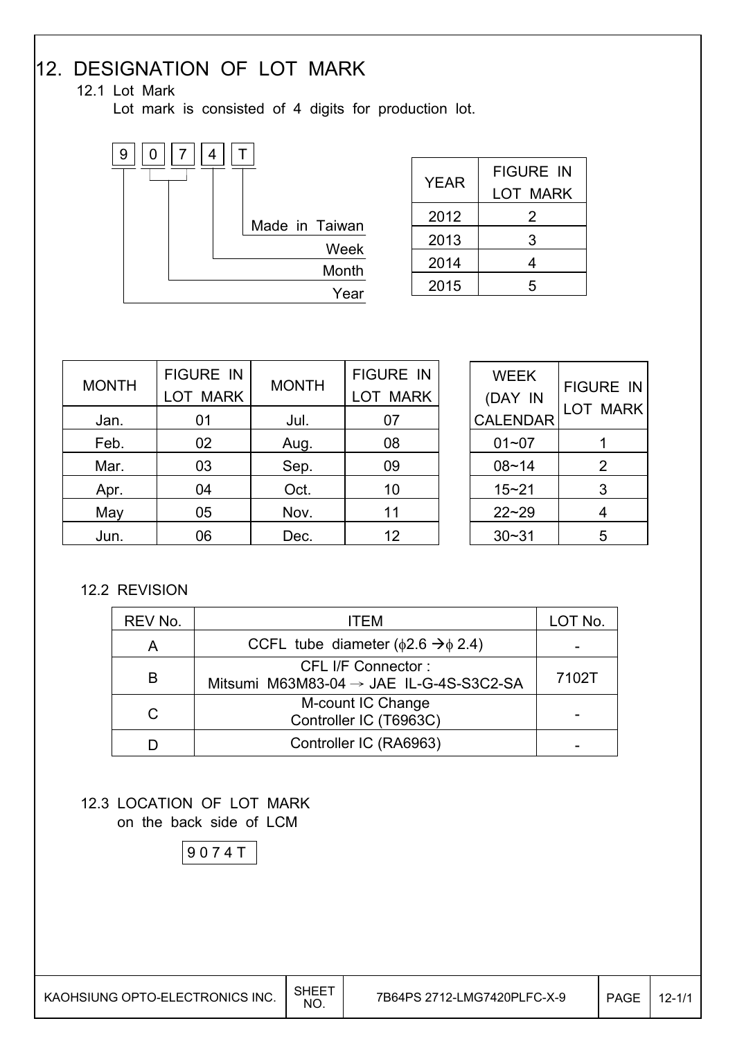# 12. DESIGNATION OF LOT MARK

## 12.1 Lot Mark

Lot mark is consisted of 4 digits for production lot.

![](_page_22_Figure_3.jpeg)

| <b>YEAR</b> | <b>FIGURE IN</b><br>LOT MARK |
|-------------|------------------------------|
| 2012        | 2                            |
| 2013        | 3                            |
| 2014        | 4                            |
| 2015        | ҕ                            |

| <b>MONTH</b> | <b>FIGURE IN</b><br><b>LOT MARK</b> | <b>MONTH</b> | <b>FIGURE IN</b><br><b>LOT MARK</b> |
|--------------|-------------------------------------|--------------|-------------------------------------|
| Jan.         | 01                                  | Jul.         | 07                                  |
| Feb.         | 02                                  | Aug.         | 08                                  |
| Mar.         | 03                                  | Sep.         | 09                                  |
| Apr.         | 04                                  | Oct.         | 10                                  |
| May          | 05                                  | Nov.         | 11                                  |
| Jun.         | 06                                  | Dec.         | 12                                  |

| WEEK<br>(DAY IN | <b>FIGURE IN</b><br>LOT MARK |
|-----------------|------------------------------|
| <b>CALENDAR</b> |                              |
| 01~07           | 1                            |
| $08 - 14$       | 2                            |
| 15~21           | 3                            |
| $22 - 29$       | 4                            |
| $30 - 31$       | 5                            |

### 12.2 REVISION

| REV No. |   | ITFM.                                                                            | LOT No. |  |
|---------|---|----------------------------------------------------------------------------------|---------|--|
|         | Α | CCFL tube diameter ( $\phi$ 2.6 $\rightarrow$ $\phi$ 2.4)                        |         |  |
|         | B | <b>CFL I/F Connector:</b><br>Mitsumi M63M83-04 $\rightarrow$ JAE IL-G-4S-S3C2-SA |         |  |
|         | С | M-count IC Change<br>Controller IC (T6963C)                                      |         |  |
|         |   | Controller IC (RA6963)                                                           |         |  |

### 12.3 LOCATION OF LOT MARK on the back side of LCM

9 0 7 4 T